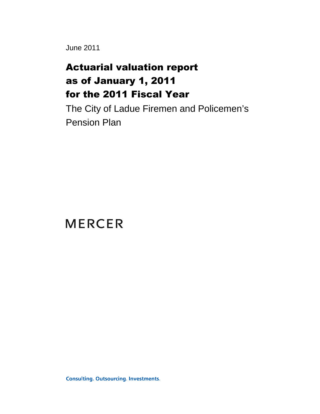June 2011

# Actuarial valuation report as of January 1, 2011 for the 2011 Fiscal Year

The City of Ladue Firemen and Policemen's Pension Plan

**MERCER** 

**Consulting. Outsourcing. Investments.**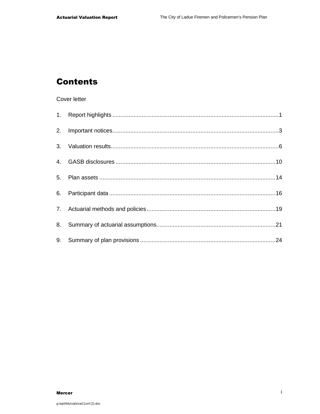## **Contents**

### Cover letter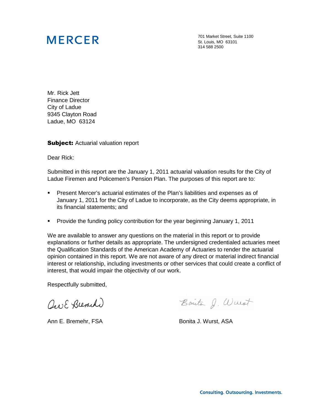# **MERCER**

701 Market Street, Suite 1100 St. Louis, MO 63101 314 588 2500

Mr. Rick Jett Finance Director City of Ladue 9345 Clayton Road Ladue, MO 63124

**Subject:** Actuarial valuation report

Dear Rick:

Submitted in this report are the January 1, 2011 actuarial valuation results for the City of Ladue Firemen and Policemen's Pension Plan. The purposes of this report are to:

- Present Mercer's actuarial estimates of the Plan's liabilities and expenses as of January 1, 2011 for the City of Ladue to incorporate, as the City deems appropriate, in its financial statements; and
- **Provide the funding policy contribution for the year beginning January 1, 2011**

We are available to answer any questions on the material in this report or to provide explanations or further details as appropriate. The undersigned credentialed actuaries meet the Qualification Standards of the American Academy of Actuaries to render the actuarial opinion contained in this report. We are not aware of any direct or material indirect financial interest or relationship, including investments or other services that could create a conflict of interest, that would impair the objectivity of our work.

Respectfully submitted,

Que E Brench

Ann E. Bremehr, FSA Bonita J. Wurst, ASA

Bonito J. Wurst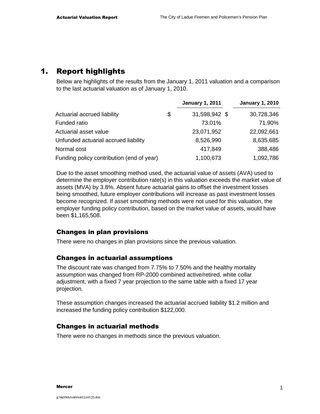## 1. Report highlights

Below are highlights of the results from the January 1, 2011 valuation and a comparison to the last actuarial valuation as of January 1, 2010.

|                                           | <b>January 1, 2011</b> | <b>January 1, 2010</b> |
|-------------------------------------------|------------------------|------------------------|
| Actuarial accrued liability               | \$<br>31,598,942 \$    | 30,728,346             |
| Funded ratio                              | 73.01%                 | 71.90%                 |
| Actuarial asset value                     | 23,071,952             | 22,092,661             |
| Unfunded actuarial accrued liability      | 8,526,990              | 8,635,685              |
| Normal cost                               | 417,849                | 388,486                |
| Funding policy contribution (end of year) | 1,100,673              | 1,092,786              |

Due to the asset smoothing method used, the actuarial value of assets (AVA) used to determine the employer contribution rate(s) in this valuation exceeds the market value of assets (MVA) by 3.8%. Absent future actuarial gains to offset the investment losses being smoothed, future employer contributions will increase as past investment losses become recognized. If asset smoothing methods were not used for this valuation, the employer funding policy contribution, based on the market value of assets, would have been \$1,165,508.

### Changes in plan provisions

There were no changes in plan provisions since the previous valuation.

### Changes in actuarial assumptions

The discount rate was changed from 7.75% to 7.50% and the healthy mortality assumption was changed from RP-2000 combined active/retired, white collar adjustment, with a fixed 7 year projection to the same table with a fixed 17 year projection.

These assumption changes increased the actuarial accrued liability \$1.2 million and increased the funding policy contribution \$122,000.

### Changes in actuarial methods

There were no changes in methods since the previous valuation.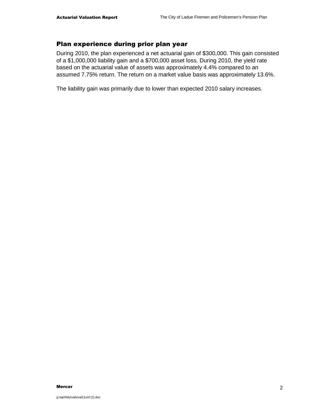### Plan experience during prior plan year

During 2010, the plan experienced a net actuarial gain of \$300,000. This gain consisted of a \$1,000,000 liability gain and a \$700,000 asset loss. During 2010, the yield rate based on the actuarial value of assets was approximately 4.4% compared to an assumed 7.75% return. The return on a market value basis was approximately 13.6%.

The liability gain was primarily due to lower than expected 2010 salary increases.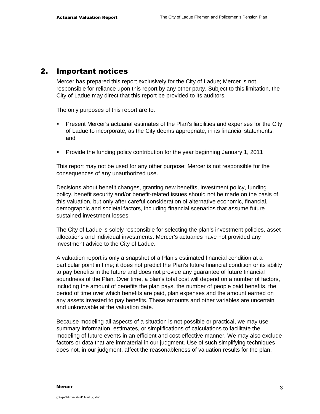### 2. Important notices

Mercer has prepared this report exclusively for the City of Ladue; Mercer is not responsible for reliance upon this report by any other party. Subject to this limitation, the City of Ladue may direct that this report be provided to its auditors.

The only purposes of this report are to:

- Present Mercer's actuarial estimates of the Plan's liabilities and expenses for the City of Ladue to incorporate, as the City deems appropriate, in its financial statements; and
- **Provide the funding policy contribution for the year beginning January 1, 2011**

This report may not be used for any other purpose; Mercer is not responsible for the consequences of any unauthorized use.

Decisions about benefit changes, granting new benefits, investment policy, funding policy, benefit security and/or benefit-related issues should not be made on the basis of this valuation, but only after careful consideration of alternative economic, financial, demographic and societal factors, including financial scenarios that assume future sustained investment losses.

The City of Ladue is solely responsible for selecting the plan's investment policies, asset allocations and individual investments. Mercer's actuaries have not provided any investment advice to the City of Ladue.

A valuation report is only a snapshot of a Plan's estimated financial condition at a particular point in time; it does not predict the Plan's future financial condition or its ability to pay benefits in the future and does not provide any guarantee of future financial soundness of the Plan. Over time, a plan's total cost will depend on a number of factors, including the amount of benefits the plan pays, the number of people paid benefits, the period of time over which benefits are paid, plan expenses and the amount earned on any assets invested to pay benefits. These amounts and other variables are uncertain and unknowable at the valuation date.

Because modeling all aspects of a situation is not possible or practical, we may use summary information, estimates, or simplifications of calculations to facilitate the modeling of future events in an efficient and cost-effective manner. We may also exclude factors or data that are immaterial in our judgment. Use of such simplifying techniques does not, in our judgment, affect the reasonableness of valuation results for the plan.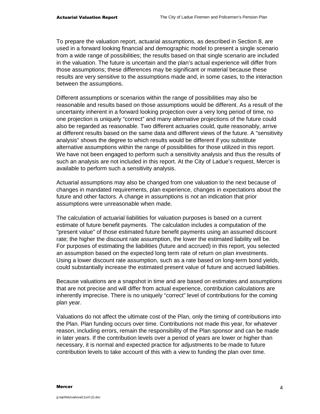To prepare the valuation report, actuarial assumptions, as described in Section 8, are used in a forward looking financial and demographic model to present a single scenario from a wide range of possibilities; the results based on that single scenario are included in the valuation. The future is uncertain and the plan's actual experience will differ from those assumptions; these differences may be significant or material because these results are very sensitive to the assumptions made and, in some cases, to the interaction between the assumptions.

Different assumptions or scenarios within the range of possibilities may also be reasonable and results based on those assumptions would be different. As a result of the uncertainty inherent in a forward looking projection over a very long period of time, no one projection is uniquely "correct" and many alternative projections of the future could also be regarded as reasonable. Two different actuaries could, quite reasonably, arrive at different results based on the same data and different views of the future. A "sensitivity analysis" shows the degree to which results would be different if you substitute alternative assumptions within the range of possibilities for those utilized in this report. We have not been engaged to perform such a sensitivity analysis and thus the results of such an analysis are not included in this report. At the City of Ladue's request, Mercer is available to perform such a sensitivity analysis.

Actuarial assumptions may also be changed from one valuation to the next because of changes in mandated requirements, plan experience, changes in expectations about the future and other factors. A change in assumptions is not an indication that prior assumptions were unreasonable when made.

The calculation of actuarial liabilities for valuation purposes is based on a current estimate of future benefit payments. The calculation includes a computation of the "present value" of those estimated future benefit payments using an assumed discount rate; the higher the discount rate assumption, the lower the estimated liability will be. For purposes of estimating the liabilities (future and accrued) in this report, you selected an assumption based on the expected long term rate of return on plan investments. Using a lower discount rate assumption, such as a rate based on long-term bond yields, could substantially increase the estimated present value of future and accrued liabilities.

Because valuations are a snapshot in time and are based on estimates and assumptions that are not precise and will differ from actual experience, contribution calculations are inherently imprecise. There is no uniquely "correct" level of contributions for the coming plan year.

Valuations do not affect the ultimate cost of the Plan, only the timing of contributions into the Plan. Plan funding occurs over time. Contributions not made this year, for whatever reason, including errors, remain the responsibility of the Plan sponsor and can be made in later years. If the contribution levels over a period of years are lower or higher than necessary, it is normal and expected practice for adjustments to be made to future contribution levels to take account of this with a view to funding the plan over time.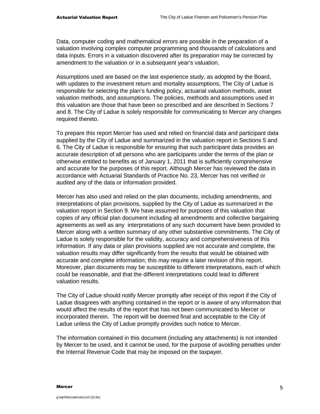Data, computer coding and mathematical errors are possible in the preparation of a valuation involving complex computer programming and thousands of calculations and data inputs. Errors in a valuation discovered after its preparation may be corrected by amendment to the valuation or in a subsequent year's valuation.

Assumptions used are based on the last experience study, as adopted by the Board, with updates to the investment return and mortality assumptions, The City of Ladue is responsible for selecting the plan's funding policy, actuarial valuation methods, asset valuation methods, and assumptions. The policies, methods and assumptions used in this valuation are those that have been so prescribed and are described in Sections 7 and 8. The City of Ladue is solely responsible for communicating to Mercer any changes required thereto.

To prepare this report Mercer has used and relied on financial data and participant data supplied by the City of Ladue and summarized in the valuation report in Sections 5 and 6. The City of Ladue is responsible for ensuring that such participant data provides an accurate description of all persons who are participants under the terms of the plan or otherwise entitled to benefits as of January 1, 2011 that is sufficiently comprehensive and accurate for the purposes of this report. Although Mercer has reviewed the data in accordance with Actuarial Standards of Practice No. 23, Mercer has not verified or audited any of the data or information provided.

Mercer has also used and relied on the plan documents, including amendments, and interpretations of plan provisions, supplied by the City of Ladue as summarized in the valuation report in Section 9. We have assumed for purposes of this valuation that copies of any official plan document including all amendments and collective bargaining agreements as well as any interpretations of any such document have been provided to Mercer along with a written summary of any other substantive commitments. The City of Ladue is solely responsible for the validity, accuracy and comprehensiveness of this information. If any data or plan provisions supplied are not accurate and complete, the valuation results may differ significantly from the results that would be obtained with accurate and complete information; this may require a later revision of this report. Moreover, plan documents may be susceptible to different interpretations, each of which could be reasonable, and that the different interpretations could lead to different valuation results.

The City of Ladue should notify Mercer promptly after receipt of this report if the City of Ladue disagrees with anything contained in the report or is aware of any information that would affect the results of the report that has not been communicated to Mercer or incorporated therein. The report will be deemed final and acceptable to the City of Ladue unless the City of Ladue promptly provides such notice to Mercer.

The information contained in this document (including any attachments) is not intended by Mercer to be used, and it cannot be used, for the purpose of avoiding penalties under the Internal Revenue Code that may be imposed on the taxpayer.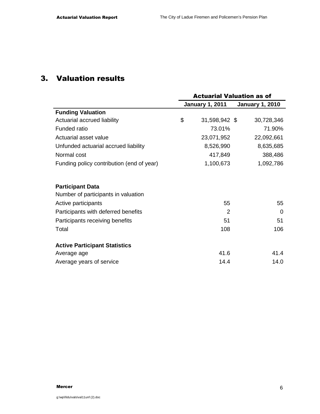## 3. Valuation results

|                                           | <b>Actuarial Valuation as of</b> |                        |                        |  |  |
|-------------------------------------------|----------------------------------|------------------------|------------------------|--|--|
|                                           |                                  | <b>January 1, 2011</b> | <b>January 1, 2010</b> |  |  |
| <b>Funding Valuation</b>                  |                                  |                        |                        |  |  |
| Actuarial accrued liability               | \$                               | 31,598,942 \$          | 30,728,346             |  |  |
| Funded ratio                              |                                  | 73.01%                 | 71.90%                 |  |  |
| Actuarial asset value                     |                                  | 23,071,952             | 22,092,661             |  |  |
| Unfunded actuarial accrued liability      |                                  | 8,526,990              | 8,635,685              |  |  |
| Normal cost                               |                                  | 417,849                | 388,486                |  |  |
| Funding policy contribution (end of year) |                                  | 1,100,673              | 1,092,786              |  |  |
| <b>Participant Data</b>                   |                                  |                        |                        |  |  |
| Number of participants in valuation       |                                  |                        |                        |  |  |
| Active participants                       |                                  | 55                     | 55                     |  |  |
| Participants with deferred benefits       |                                  | 2                      | $\Omega$               |  |  |
| Participants receiving benefits           |                                  | 51                     | 51                     |  |  |
| Total                                     |                                  | 108                    | 106                    |  |  |
| <b>Active Participant Statistics</b>      |                                  |                        |                        |  |  |
| Average age                               |                                  | 41.6                   | 41.4                   |  |  |
| Average years of service                  |                                  | 14.4                   | 14.0                   |  |  |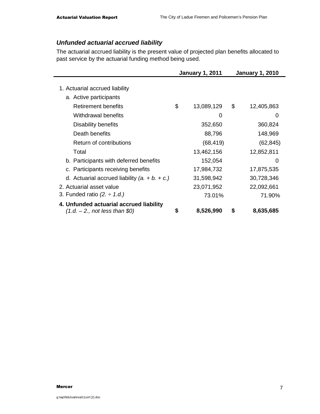### **Unfunded actuarial accrued liability**

The actuarial accrued liability is the present value of projected plan benefits allocated to past service by the actuarial funding method being used.

|                                                                            | <b>January 1, 2011</b> | <b>January 1, 2010</b> |            |  |
|----------------------------------------------------------------------------|------------------------|------------------------|------------|--|
| 1. Actuarial accrued liability                                             |                        |                        |            |  |
| a. Active participants                                                     |                        |                        |            |  |
| <b>Retirement benefits</b>                                                 | \$<br>13,089,129       | \$                     | 12,405,863 |  |
| Withdrawal benefits                                                        | 0                      |                        | O          |  |
| Disability benefits                                                        | 352,650                |                        | 360,824    |  |
| Death benefits                                                             | 88,796                 |                        | 148,969    |  |
| Return of contributions                                                    | (68, 419)              |                        | (62, 845)  |  |
| Total                                                                      | 13,462,156             |                        | 12,852,811 |  |
| b. Participants with deferred benefits                                     | 152,054                |                        | 0          |  |
| c. Participants receiving benefits                                         | 17,984,732             |                        | 17,875,535 |  |
| d. Actuarial accrued liability $(a + b + c)$                               | 31,598,942             |                        | 30,728,346 |  |
| 2. Actuarial asset value                                                   | 23,071,952             |                        | 22,092,661 |  |
| 3. Funded ratio $(2. \div 1.d.)$                                           | 73.01%                 |                        | 71.90%     |  |
| 4. Unfunded actuarial accrued liability<br>$(1.d. - 2., not less than $0)$ | \$<br>8,526,990        | S                      | 8,635,685  |  |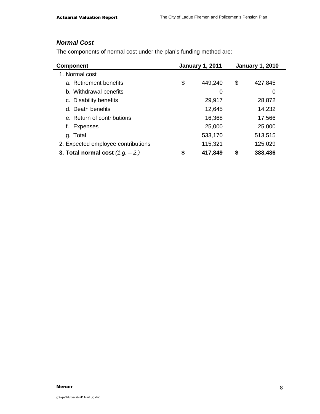### **Normal Cost**

The components of normal cost under the plan's funding method are:

| <b>Component</b>                   | <b>January 1, 2011</b> | <b>January 1, 2010</b> |         |  |
|------------------------------------|------------------------|------------------------|---------|--|
| 1. Normal cost                     |                        |                        |         |  |
| a. Retirement benefits             | \$<br>449,240          | \$                     | 427,845 |  |
| b. Withdrawal benefits             | 0                      |                        | 0       |  |
| c. Disability benefits             | 29,917                 |                        | 28,872  |  |
| d. Death benefits                  | 12,645                 |                        | 14,232  |  |
| e. Return of contributions         | 16,368                 |                        | 17,566  |  |
| <b>Expenses</b>                    | 25,000                 |                        | 25,000  |  |
| g. Total                           | 533,170                |                        | 513,515 |  |
| 2. Expected employee contributions | 115,321                |                        | 125,029 |  |
| 3. Total normal cost $(1.g. -2.)$  | \$<br>417,849          | \$                     | 388,486 |  |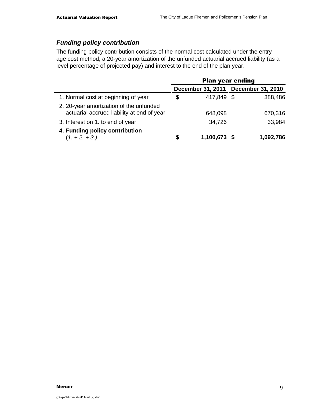### **Funding policy contribution**

The funding policy contribution consists of the normal cost calculated under the entry age cost method, a 20-year amortization of the unfunded actuarial accrued liability (as a level percentage of projected pay) and interest to the end of the plan year.

|                                                                                       | <b>Plan year ending</b> |                                     |  |           |  |
|---------------------------------------------------------------------------------------|-------------------------|-------------------------------------|--|-----------|--|
|                                                                                       |                         | December 31, 2011 December 31, 2010 |  |           |  |
| 1. Normal cost at beginning of year                                                   | \$                      | 417,849 \$                          |  | 388,486   |  |
| 2. 20-year amortization of the unfunded<br>actuarial accrued liability at end of year |                         | 648,098                             |  | 670,316   |  |
| 3. Interest on 1. to end of year                                                      |                         | 34,726                              |  | 33,984    |  |
| 4. Funding policy contribution<br>$(1. + 2. + 3.)$                                    | S                       | 1,100,673 \$                        |  | 1,092,786 |  |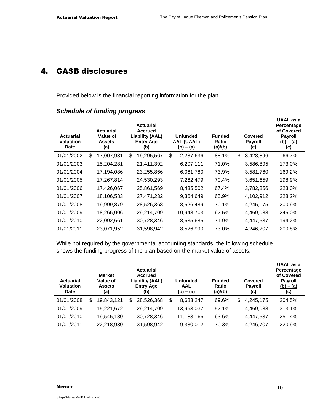## 4. GASB disclosures

Provided below is the financial reporting information for the plan.

### **Schedule of funding progress**

| <b>Actuarial</b><br>Valuation<br><b>Date</b> | <b>Actuarial</b><br>Value of<br><b>Assets</b><br>(a) | <b>Actuarial</b><br><b>Accrued</b><br>Liability (AAL)<br><b>Entry Age</b><br>(b) | <b>Unfunded</b><br>AAL (UAAL)<br>$(b) - (a)$ | <b>Funded</b><br>Ratio<br>(a)/(b) | <b>Covered</b><br><b>Payroll</b><br>(c) | UAAL as a<br>Percentage<br>of Covered<br><b>Payroll</b><br>$(b) - (a)$<br>(c) |  |
|----------------------------------------------|------------------------------------------------------|----------------------------------------------------------------------------------|----------------------------------------------|-----------------------------------|-----------------------------------------|-------------------------------------------------------------------------------|--|
| 01/01/2002                                   | \$<br>17,007,931                                     | \$<br>19,295,567                                                                 | \$<br>2,287,636                              | 88.1%                             | \$<br>3,428,896                         | 66.7%                                                                         |  |
| 01/01/2003                                   | 15,204,281                                           | 21,411,392                                                                       | 6,207,111                                    | 71.0%                             | 3,586,895                               | 173.0%                                                                        |  |
| 01/01/2004                                   | 17,194,086                                           | 23,255,866                                                                       | 6,061,780                                    | 73.9%                             | 3,581,760                               | 169.2%                                                                        |  |
| 01/01/2005                                   | 17,267,814                                           | 24,530,293                                                                       | 7,262,479                                    | 70.4%                             | 3,651,659                               | 198.9%                                                                        |  |
| 01/01/2006                                   | 17,426,067                                           | 25,861,569                                                                       | 8,435,502                                    | 67.4%                             | 3,782,856                               | 223.0%                                                                        |  |
| 01/01/2007                                   | 18,106,583                                           | 27,471,232                                                                       | 9,364,649                                    | 65.9%                             | 4,102,912                               | 228.2%                                                                        |  |
| 01/01/2008                                   | 19,999,879                                           | 28,526,368                                                                       | 8,526,489                                    | 70.1%                             | 4,245,175                               | 200.9%                                                                        |  |
| 01/01/2009                                   | 18,266,006                                           | 29,214,709                                                                       | 10,948,703                                   | 62.5%                             | 4,469,088                               | 245.0%                                                                        |  |
| 01/01/2010                                   | 22,092,661                                           | 30,728,346                                                                       | 8,635,685                                    | 71.9%                             | 4,447,537                               | 194.2%                                                                        |  |
| 01/01/2011                                   | 23,071,952                                           | 31,598,942                                                                       | 8,526,990                                    | 73.0%                             | 4,246,707                               | 200.8%                                                                        |  |

While not required by the governmental accounting standards, the following schedule shows the funding progress of the plan based on the market value of assets.

| <b>Actuarial</b><br><b>Valuation</b><br><b>Date</b> | <b>Market</b><br>Value of<br><b>Assets</b><br>(a) |     | <b>Actuarial</b><br><b>Accrued</b><br><b>Liability (AAL)</b><br><b>Entry Age</b><br>(b) | <b>Unfunded</b><br>AAL<br>$(b) - (a)$ |            | <b>Funded</b><br>Ratio<br>(a)/(b) |       | Covered<br><b>Payroll</b><br>(c) | UAAL as a<br>Percentage<br>of Covered<br><b>Payroll</b><br>$(b) - (a)$<br>(c) |
|-----------------------------------------------------|---------------------------------------------------|-----|-----------------------------------------------------------------------------------------|---------------------------------------|------------|-----------------------------------|-------|----------------------------------|-------------------------------------------------------------------------------|
| 01/01/2008                                          | \$<br>19,843,121                                  | \$. | 28,526,368                                                                              | \$                                    | 8,683,247  |                                   | 69.6% | \$<br>4,245,175                  | 204.5%                                                                        |
| 01/01/2009                                          | 15,221,672                                        |     | 29,214,709                                                                              |                                       | 13,993,037 |                                   | 52.1% | 4,469,088                        | 313.1%                                                                        |
| 01/01/2010                                          | 19,545,180                                        |     | 30,728,346                                                                              |                                       | 11,183,166 |                                   | 63.6% | 4,447,537                        | 251.4%                                                                        |
| 01/01/2011                                          | 22,218,930                                        |     | 31,598,942                                                                              |                                       | 9,380,012  |                                   | 70.3% | 4,246,707                        | 220.9%                                                                        |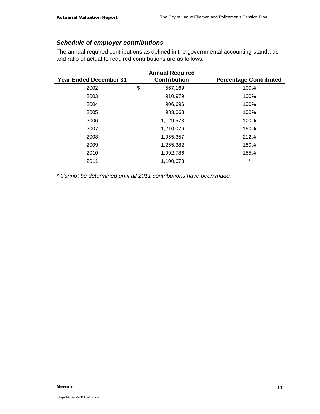### **Schedule of employer contributions**

The annual required contributions as defined in the governmental accounting standards and ratio of actual to required contributions are as follows:

| <b>Annual Required</b>        |    |                     |                               |  |  |  |  |  |  |  |
|-------------------------------|----|---------------------|-------------------------------|--|--|--|--|--|--|--|
| <b>Year Ended December 31</b> |    | <b>Contribution</b> | <b>Percentage Contributed</b> |  |  |  |  |  |  |  |
| 2002                          | \$ | 567,169             | 100%                          |  |  |  |  |  |  |  |
| 2003                          |    | 910,979             | 100%                          |  |  |  |  |  |  |  |
| 2004                          |    | 906,696             | 100%                          |  |  |  |  |  |  |  |
| 2005                          |    | 983,068             | 100%                          |  |  |  |  |  |  |  |
| 2006                          |    | 1,129,573           | 100%                          |  |  |  |  |  |  |  |
| 2007                          |    | 1,210,076           | 150%                          |  |  |  |  |  |  |  |
| 2008                          |    | 1,055,357           | 212%                          |  |  |  |  |  |  |  |
| 2009                          |    | 1,255,382           | 180%                          |  |  |  |  |  |  |  |
| 2010                          |    | 1,092,786           | 155%                          |  |  |  |  |  |  |  |
| 2011                          |    | 1,100,673           | $\star$                       |  |  |  |  |  |  |  |

\* Cannot be determined until all 2011 contributions have been made.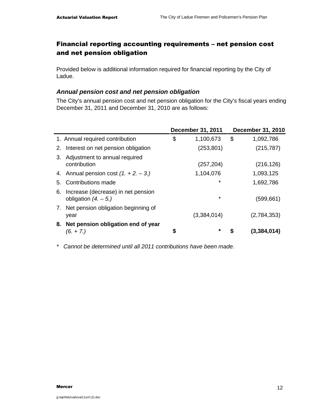## Financial reporting accounting requirements – net pension cost and net pension obligation

Provided below is additional information required for financial reporting by the City of Ladue.

### **Annual pension cost and net pension obligation**

The City's annual pension cost and net pension obligation for the City's fiscal years ending December 31, 2011 and December 31, 2010 are as follows:

|    |                                                              | <b>December 31, 2011</b> |    | <b>December 31, 2010</b> |
|----|--------------------------------------------------------------|--------------------------|----|--------------------------|
|    | 1. Annual required contribution                              | \$<br>1,100,673          | \$ | 1,092,786                |
| 2. | Interest on net pension obligation                           | (253, 801)               |    | (215, 787)               |
| 3. | Adjustment to annual required<br>contribution                | (257, 204)               |    | (216, 126)               |
|    | 4. Annual pension cost $(1. + 2. - 3.)$                      | 1,104,076                |    | 1,093,125                |
| 5. | Contributions made                                           | $\star$                  |    | 1,692,786                |
| 6. | Increase (decrease) in net pension<br>obligation $(4. - 5.)$ | $\star$                  |    | (599, 661)               |
|    | 7. Net pension obligation beginning of<br>year               | (3,384,014)              |    | (2,784,353)              |
| 8. | Net pension obligation end of year<br>$(6. + 7.)$            | \$<br>*                  | S  | (3,384,014)              |

\* Cannot be determined until all 2011 contributions have been made.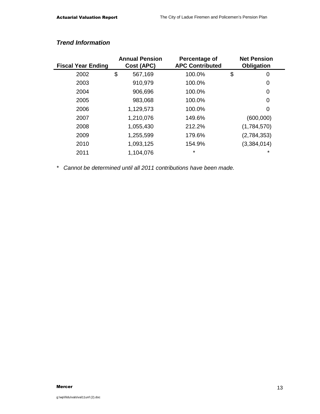| <b>Fiscal Year Ending</b> | <b>Annual Pension</b><br>Cost (APC) | Percentage of<br><b>APC Contributed</b> | <b>Net Pension</b><br><b>Obligation</b> |
|---------------------------|-------------------------------------|-----------------------------------------|-----------------------------------------|
| 2002                      | \$<br>567,169                       | 100.0%                                  | \$<br>0                                 |
| 2003                      | 910,979                             | 100.0%                                  | 0                                       |
| 2004                      | 906,696                             | 100.0%                                  | 0                                       |
| 2005                      | 983,068                             | 100.0%                                  | 0                                       |
| 2006                      | 1,129,573                           | 100.0%                                  | 0                                       |
| 2007                      | 1,210,076                           | 149.6%                                  | (600,000)                               |
| 2008                      | 1,055,430                           | 212.2%                                  | (1,784,570)                             |
| 2009                      | 1,255,599                           | 179.6%                                  | (2,784,353)                             |
| 2010                      | 1,093,125                           | 154.9%                                  | (3,384,014)                             |
| 2011                      | 1,104,076                           | $\star$                                 | $\star$                                 |

### **Trend Information**

\* Cannot be determined until all 2011 contributions have been made.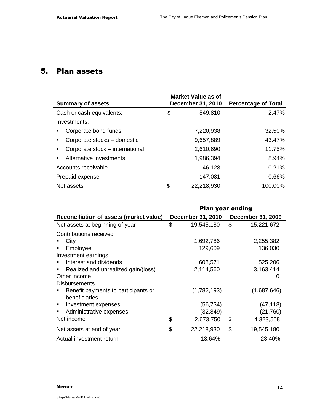## 5. Plan assets

| <b>Summary of assets</b>                          | <b>Market Value as of</b><br><b>December 31, 2010</b> | <b>Percentage of Total</b> |
|---------------------------------------------------|-------------------------------------------------------|----------------------------|
| Cash or cash equivalents:                         | \$<br>549,810                                         | 2.47%                      |
| Investments:                                      |                                                       |                            |
| Corporate bond funds<br>$\blacksquare$            | 7,220,938                                             | 32.50%                     |
| Corporate stocks - domestic<br>$\blacksquare$     | 9,657,889                                             | 43.47%                     |
| Corporate stock – international<br>$\blacksquare$ | 2,610,690                                             | 11.75%                     |
| Alternative investments<br>$\blacksquare$         | 1,986,394                                             | 8.94%                      |
| Accounts receivable                               | 46,128                                                | 0.21%                      |
| Prepaid expense                                   | 147,081                                               | 0.66%                      |
| Net assets                                        | \$<br>22,218,930                                      | 100.00%                    |
|                                                   |                                                       |                            |

|                                                      | <b>Plan year ending</b> |                          |    |                          |  |  |
|------------------------------------------------------|-------------------------|--------------------------|----|--------------------------|--|--|
| Reconciliation of assets (market value)              |                         | <b>December 31, 2010</b> |    | <b>December 31, 2009</b> |  |  |
| Net assets at beginning of year                      | \$                      | 19,545,180               | \$ | 15,221,672               |  |  |
| Contributions received                               |                         |                          |    |                          |  |  |
| City                                                 |                         | 1,692,786                |    | 2,255,382                |  |  |
| Employee                                             |                         | 129,609                  |    | 136,030                  |  |  |
| Investment earnings                                  |                         |                          |    |                          |  |  |
| Interest and dividends                               |                         | 608,571                  |    | 525,206                  |  |  |
| Realized and unrealized gain/(loss)                  |                         | 2,114,560                |    | 3,163,414                |  |  |
| Other income                                         |                         |                          |    | 0                        |  |  |
| <b>Disbursements</b>                                 |                         |                          |    |                          |  |  |
| Benefit payments to participants or<br>beneficiaries |                         | (1,782,193)              |    | (1,687,646)              |  |  |
| Investment expenses<br>٠                             |                         | (56,734)                 |    | (47, 118)                |  |  |
| Administrative expenses                              |                         | (32, 849)                |    | (21,760)                 |  |  |
| Net income                                           | \$                      | 2,673,750                | \$ | 4,323,508                |  |  |
| Net assets at end of year                            | \$                      | 22,218,930               | \$ | 19,545,180               |  |  |
| Actual investment return                             |                         | 13.64%                   |    | 23.40%                   |  |  |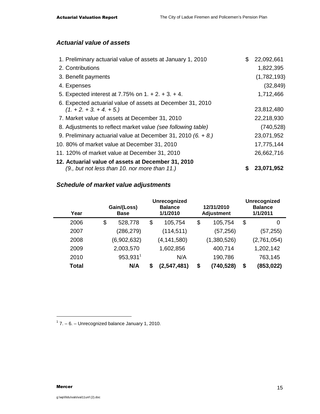### **Actuarial value of assets**

| 1. Preliminary actuarial value of assets at January 1, 2010     | \$<br>22,092,661 |
|-----------------------------------------------------------------|------------------|
| 2. Contributions                                                | 1,822,395        |
| 3. Benefit payments                                             | (1,782,193)      |
| 4. Expenses                                                     | (32, 849)        |
| 5. Expected interest at 7.75% on $1. + 2. + 3. + 4.$            | 1,712,466        |
| 6. Expected actuarial value of assets at December 31, 2010      |                  |
| $(1 + 2 + 3 + 4 + 5)$                                           | 23,812,480       |
| 7. Market value of assets at December 31, 2010                  | 22,218,930       |
| 8. Adjustments to reflect market value (see following table)    | (740, 528)       |
| 9. Preliminary actuarial value at December 31, 2010 $(6. + 8.)$ | 23,071,952       |
| 10. 80% of market value at December 31, 2010                    | 17,775,144       |
| 11. 120% of market value at December 31, 2010                   | 26,662,716       |
| 12. Actuarial value of assets at December 31, 2010              |                  |
| (9., but not less than 10. nor more than 11.)                   | 23,071,952       |

### **Schedule of market value adjustments**

| Year  | Gain/(Loss)<br><b>Base</b> |    | <b>Unrecognized</b><br><b>Balance</b><br>1/1/2010 | 12/31/2010<br><b>Adjustment</b> | <b>Unrecognized</b><br><b>Balance</b><br>1/1/2011 |
|-------|----------------------------|----|---------------------------------------------------|---------------------------------|---------------------------------------------------|
| 2006  | \$<br>528,778              | \$ | 105,754                                           | \$<br>105,754                   | \$<br>0                                           |
| 2007  | (286, 279)                 |    | (114, 511)                                        | (57, 256)                       | (57,255)                                          |
| 2008  | (6,902,632)                |    | (4, 141, 580)                                     | (1,380,526)                     | (2,761,054)                                       |
| 2009  | 2,003,570                  |    | 1,602,856                                         | 400,714                         | 1,202,142                                         |
| 2010  | 953,931                    |    | N/A                                               | 190,786                         | 763,145                                           |
| Total | N/A                        | S  | (2,547,481)                                       | \$<br>(740, 528)                | \$<br>(853, 022)                                  |

 $1$  7. – 6. – Unrecognized balance January 1, 2010.

-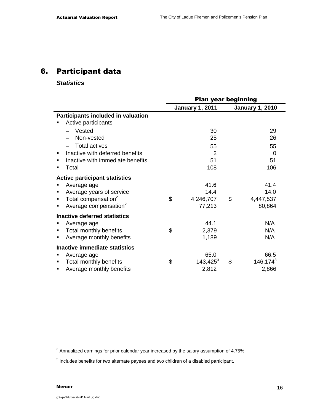## 6. Participant data

### **Statistics**

|   |                                      | <b>Plan year beginning</b> |                        |    |                        |  |
|---|--------------------------------------|----------------------------|------------------------|----|------------------------|--|
|   |                                      |                            | <b>January 1, 2011</b> |    | <b>January 1, 2010</b> |  |
|   | Participants included in valuation   |                            |                        |    |                        |  |
|   | Active participants                  |                            |                        |    |                        |  |
|   | Vested                               |                            | 30                     |    | 29                     |  |
|   | Non-vested                           |                            | 25                     |    | 26                     |  |
|   | <b>Total actives</b>                 |                            | 55                     |    | 55                     |  |
| ٠ | Inactive with deferred benefits      |                            | $\overline{2}$         |    | 0                      |  |
|   | Inactive with immediate benefits     |                            | 51                     |    | 51                     |  |
|   | Total                                |                            | 108                    |    | 106                    |  |
|   | <b>Active participant statistics</b> |                            |                        |    |                        |  |
|   | Average age                          |                            | 41.6                   |    | 41.4                   |  |
|   | Average years of service             |                            | 14.4                   |    | 14.0                   |  |
| ٠ | Total compensation <sup>2</sup>      | \$                         | 4,246,707              | \$ | 4,447,537              |  |
|   | Average compensation <sup>2</sup>    |                            | 77,213                 |    | 80,864                 |  |
|   | <b>Inactive deferred statistics</b>  |                            |                        |    |                        |  |
|   | Average age                          |                            | 44.1                   |    | N/A                    |  |
| ٠ | Total monthly benefits               | \$                         | 2,379                  |    | N/A                    |  |
|   | Average monthly benefits             |                            | 1,189                  |    | N/A                    |  |
|   | Inactive immediate statistics        |                            |                        |    |                        |  |
|   | Average age                          |                            | 65.0                   |    | 66.5                   |  |
|   | Total monthly benefits               | \$                         | $143,425^3$            | \$ | $146, 174^3$           |  |
|   | Average monthly benefits             |                            | 2,812                  |    | 2,866                  |  |

 $\overline{a}$ 

 $2$  Annualized earnings for prior calendar year increased by the salary assumption of 4.75%.

 $3$  Includes benefits for two alternate payees and two children of a disabled participant.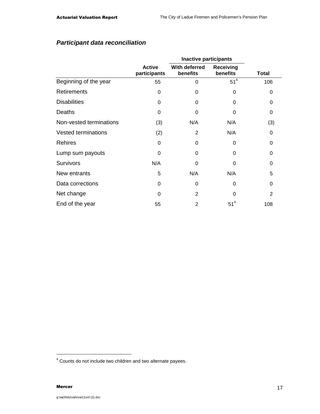## **Participant data reconciliation**

|                            |                               | <b>Inactive participants</b> |                       |              |
|----------------------------|-------------------------------|------------------------------|-----------------------|--------------|
|                            | <b>Active</b><br>participants | With deferred<br>benefits    | Receiving<br>benefits | <b>Total</b> |
| Beginning of the year      | 55                            | 0                            | 51 <sup>4</sup>       | 106          |
| <b>Retirements</b>         | 0                             | 0                            | 0                     | 0            |
| <b>Disabilities</b>        | 0                             | 0                            | 0                     | 0            |
| Deaths                     | 0                             | 0                            | 0                     | 0            |
| Non-vested terminations    | (3)                           | N/A                          | N/A                   | (3)          |
| <b>Vested terminations</b> | (2)                           | 2                            | N/A                   | 0            |
| <b>Rehires</b>             | 0                             | 0                            | $\Omega$              | 0            |
| Lump sum payouts           | 0                             | 0                            | 0                     | 0            |
| <b>Survivors</b>           | N/A                           | 0                            | $\Omega$              | 0            |
| New entrants               | 5                             | N/A                          | N/A                   | 5            |
| Data corrections           | 0                             | 0                            | 0                     | 0            |
| Net change                 | 0                             | $\overline{2}$               | 0                     | 2            |
| End of the year            | 55                            | 2                            | $51^4$                | 108          |

-

<sup>&</sup>lt;sup>4</sup> Counts do not include two children and two alternate payees.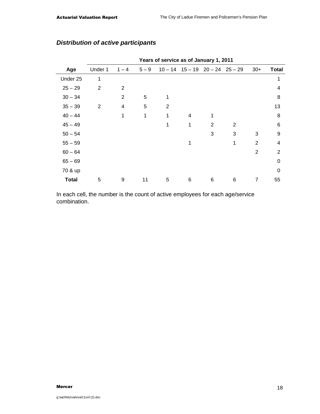|              |                |                |         | Years of service as of January 1, 2011 |   |                                         |   |                |                |
|--------------|----------------|----------------|---------|----------------------------------------|---|-----------------------------------------|---|----------------|----------------|
| Age          | Under 1        | $1 - 4$        | $5 - 9$ |                                        |   | $10 - 14$ $15 - 19$ $20 - 24$ $25 - 29$ |   | $30+$          | <b>Total</b>   |
| Under 25     | 1              |                |         |                                        |   |                                         |   |                | 1              |
| $25 - 29$    | $\overline{2}$ | 2              |         |                                        |   |                                         |   |                | 4              |
| $30 - 34$    |                | $\overline{c}$ | 5       | 1                                      |   |                                         |   |                | 8              |
| $35 - 39$    | $\overline{2}$ | 4              | 5       | $\overline{2}$                         |   |                                         |   |                | 13             |
| $40 - 44$    |                | 1              | 1       | 1                                      | 4 | 1                                       |   |                | 8              |
| $45 - 49$    |                |                |         | 1                                      | 1 | 2                                       | 2 |                | 6              |
| $50 - 54$    |                |                |         |                                        |   | 3                                       | 3 | 3              | 9              |
| $55 - 59$    |                |                |         |                                        | 1 |                                         | 1 | 2              | 4              |
| $60 - 64$    |                |                |         |                                        |   |                                         |   | $\overline{2}$ | $\overline{2}$ |
| $65 - 69$    |                |                |         |                                        |   |                                         |   |                | $\Omega$       |
| 70 & up      |                |                |         |                                        |   |                                         |   |                | $\Omega$       |
| <b>Total</b> | 5              | 9              | 11      | 5                                      | 6 | 6                                       | 6 | 7              | 55             |
|              |                |                |         |                                        |   |                                         |   |                |                |

### **Distribution of active participants**

In each cell, the number is the count of active employees for each age/service combination.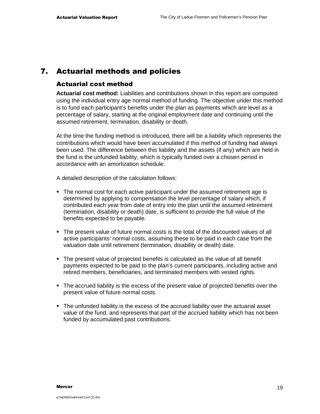## 7. Actuarial methods and policies

#### Actuarial cost method

**Actuarial cost method:** Liabilities and contributions shown in this report are computed using the individual entry age normal method of funding. The objective under this method is to fund each participant's benefits under the plan as payments which are level as a percentage of salary, starting at the original employment date and continuing until the assumed retirement, termination, disability or death.

At the time the funding method is introduced, there will be a liability which represents the contributions which would have been accumulated if this method of funding had always been used. The difference between this liability and the assets (if any) which are held in the fund is the unfunded liability, which is typically funded over a chosen period in accordance with an amortization schedule.

A detailed description of the calculation follows:

- The normal cost for each active participant under the assumed retirement age is determined by applying to compensation the level percentage of salary which, if contributed each year from date of entry into the plan until the assumed retirement (termination, disability or death) date, is sufficient to provide the full value of the benefits expected to be payable.
- The present value of future normal costs is the total of the discounted values of all active participants' normal costs, assuming these to be paid in each case from the valuation date until retirement (termination, disability or death) date.
- The present value of projected benefits is calculated as the value of all benefit payments expected to be paid to the plan's current participants, including active and retired members, beneficiaries, and terminated members with vested rights.
- The accrued liability is the excess of the present value of projected benefits over the present value of future normal costs.
- The unfunded liability is the excess of the accrued liability over the actuarial asset value of the fund, and represents that part of the accrued liability which has not been funded by accumulated past contributions.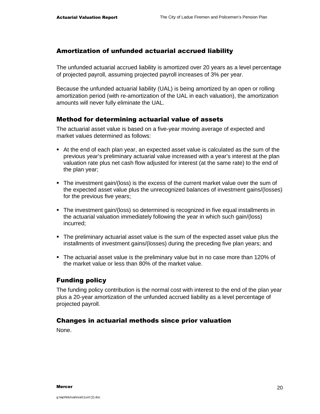### Amortization of unfunded actuarial accrued liability

The unfunded actuarial accrued liability is amortized over 20 years as a level percentage of projected payroll, assuming projected payroll increases of 3% per year.

Because the unfunded actuarial liability (UAL) is being amortized by an open or rolling amortization period (with re-amortization of the UAL in each valuation), the amortization amounts will never fully eliminate the UAL.

### Method for determining actuarial value of assets

The actuarial asset value is based on a five-year moving average of expected and market values determined as follows:

- At the end of each plan year, an expected asset value is calculated as the sum of the previous year's preliminary actuarial value increased with a year's interest at the plan valuation rate plus net cash flow adjusted for interest (at the same rate) to the end of the plan year;
- The investment gain/(loss) is the excess of the current market value over the sum of the expected asset value plus the unrecognized balances of investment gains/(losses) for the previous five years;
- The investment gain/(loss) so determined is recognized in five equal installments in the actuarial valuation immediately following the year in which such gain/(loss) incurred;
- The preliminary actuarial asset value is the sum of the expected asset value plus the installments of investment gains/(losses) during the preceding five plan years; and
- The actuarial asset value is the preliminary value but in no case more than 120% of the market value or less than 80% of the market value.

### Funding policy

The funding policy contribution is the normal cost with interest to the end of the plan year plus a 20-year amortization of the unfunded accrued liability as a level percentage of projected payroll.

### Changes in actuarial methods since prior valuation

None.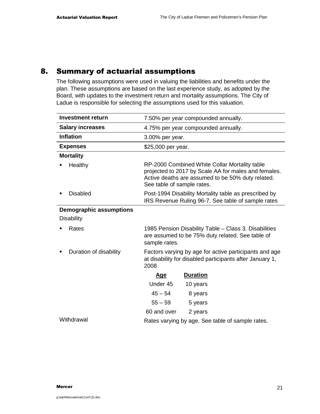## 8. Summary of actuarial assumptions

The following assumptions were used in valuing the liabilities and benefits under the plan. These assumptions are based on the last experience study, as adopted by the Board, with updates to the investment return and mortality assumptions. The City of Ladue is responsible for selecting the assumptions used for this valuation.

| <b>Investment return</b>       | 7.50% per year compounded annually.                                                                                                                                                      |  |  |  |
|--------------------------------|------------------------------------------------------------------------------------------------------------------------------------------------------------------------------------------|--|--|--|
| <b>Salary increases</b>        | 4.75% per year compounded annually.                                                                                                                                                      |  |  |  |
| <b>Inflation</b>               | 3.00% per year.                                                                                                                                                                          |  |  |  |
| <b>Expenses</b>                | \$25,000 per year.                                                                                                                                                                       |  |  |  |
| <b>Mortality</b>               |                                                                                                                                                                                          |  |  |  |
| Healthy                        | RP-2000 Combined White Collar Mortality table<br>projected to 2017 by Scale AA for males and females.<br>Active deaths are assumed to be 50% duty related.<br>See table of sample rates. |  |  |  |
| <b>Disabled</b>                | Post-1994 Disability Mortality table as prescribed by<br>IRS Revenue Ruling 96-7. See table of sample rates                                                                              |  |  |  |
| <b>Demographic assumptions</b> |                                                                                                                                                                                          |  |  |  |
| <b>Disability</b>              |                                                                                                                                                                                          |  |  |  |
| Rates                          | 1985 Pension Disability Table – Class 3. Disabilities<br>are assumed to be 75% duty related. See table of<br>sample rates.                                                               |  |  |  |
| Duration of disability         | Factors varying by age for active participants and age<br>at disability for disabled participants after January 1,<br>2008                                                               |  |  |  |
|                                | <b>Duration</b><br><u>Age</u>                                                                                                                                                            |  |  |  |
|                                | Under 45<br>10 years                                                                                                                                                                     |  |  |  |
|                                | $45 - 54$<br>8 years                                                                                                                                                                     |  |  |  |
|                                | $55 - 59$<br>5 years                                                                                                                                                                     |  |  |  |
|                                | 60 and over<br>2 years                                                                                                                                                                   |  |  |  |
| Withdrawal                     | Rates varying by age. See table of sample rates.                                                                                                                                         |  |  |  |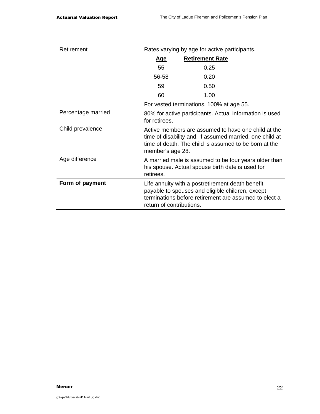| Retirement         | Rates varying by age for active participants.                                                                                                                                                |                                          |  |  |  |
|--------------------|----------------------------------------------------------------------------------------------------------------------------------------------------------------------------------------------|------------------------------------------|--|--|--|
|                    | <u>Age</u>                                                                                                                                                                                   | <b>Retirement Rate</b>                   |  |  |  |
|                    | 55                                                                                                                                                                                           | 0.25                                     |  |  |  |
|                    | 56-58                                                                                                                                                                                        | 0.20                                     |  |  |  |
|                    | 59                                                                                                                                                                                           | 0.50                                     |  |  |  |
|                    | 60                                                                                                                                                                                           | 1.00                                     |  |  |  |
|                    |                                                                                                                                                                                              | For vested terminations, 100% at age 55. |  |  |  |
| Percentage married | 80% for active participants. Actual information is used<br>for retirees.                                                                                                                     |                                          |  |  |  |
| Child prevalence   | Active members are assumed to have one child at the<br>time of disability and, if assumed married, one child at<br>time of death. The child is assumed to be born at the<br>member's age 28. |                                          |  |  |  |
| Age difference     | A married male is assumed to be four years older than<br>his spouse. Actual spouse birth date is used for<br>retirees.                                                                       |                                          |  |  |  |
| Form of payment    | Life annuity with a postretirement death benefit<br>payable to spouses and eligible children, except<br>terminations before retirement are assumed to elect a<br>return of contributions.    |                                          |  |  |  |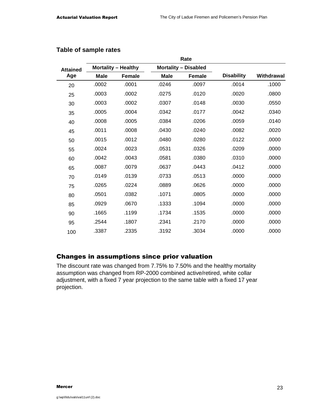|                 |             |                            |             | Rate                        |                   |            |
|-----------------|-------------|----------------------------|-------------|-----------------------------|-------------------|------------|
| <b>Attained</b> |             | <b>Mortality - Healthy</b> |             | <b>Mortality - Disabled</b> |                   |            |
| Age             | <b>Male</b> | <b>Female</b>              | <b>Male</b> | <b>Female</b>               | <b>Disability</b> | Withdrawal |
| 20              | .0002       | .0001                      | .0246       | .0097                       | .0014             | .1000      |
| 25              | .0003       | .0002                      | .0275       | .0120                       | .0020             | .0800      |
| 30              | .0003       | .0002                      | .0307       | .0148                       | .0030             | .0550      |
| 35              | .0005       | .0004                      | .0342       | .0177                       | .0042             | .0340      |
| 40              | .0008       | .0005                      | .0384       | .0206                       | .0059             | .0140      |
| 45              | .0011       | .0008                      | .0430       | .0240                       | .0082             | .0020      |
| 50              | .0015       | .0012                      | .0480       | .0280                       | .0122             | .0000      |
| 55              | .0024       | .0023                      | .0531       | .0326                       | .0209             | .0000      |
| 60              | .0042       | .0043                      | .0581       | .0380                       | .0310             | .0000      |
| 65              | .0087       | .0079                      | .0637       | .0443                       | .0412             | .0000      |
| 70              | .0149       | .0139                      | .0733       | .0513                       | .0000             | .0000      |
| 75              | .0265       | .0224                      | .0889       | .0626                       | .0000             | .0000      |
| 80              | .0501       | .0382                      | .1071       | .0805                       | .0000             | .0000      |
| 85              | .0929       | .0670                      | .1333       | .1094                       | .0000             | .0000      |
| 90              | .1665       | .1199                      | .1734       | .1535                       | .0000             | .0000      |
| 95              | .2544       | .1807                      | .2341       | .2170                       | .0000             | .0000      |
| 100             | .3387       | .2335                      | .3192       | .3034                       | .0000             | .0000      |

### **Table of sample rates**

### Changes in assumptions since prior valuation

The discount rate was changed from 7.75% to 7.50% and the healthy mortality assumption was changed from RP-2000 combined active/retired, white collar adjustment, with a fixed 7 year projection to the same table with a fixed 17 year projection.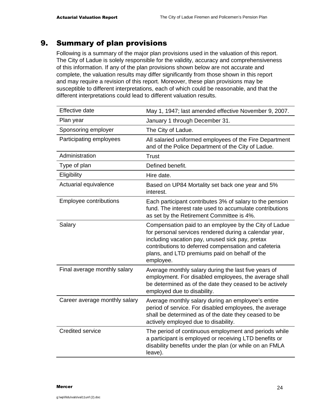## 9. Summary of plan provisions

Following is a summary of the major plan provisions used in the valuation of this report. The City of Ladue is solely responsible for the validity, accuracy and comprehensiveness of this information. If any of the plan provisions shown below are not accurate and complete, the valuation results may differ significantly from those shown in this report and may require a revision of this report. Moreover, these plan provisions may be susceptible to different interpretations, each of which could be reasonable, and that the different interpretations could lead to different valuation results.

| <b>Effective date</b>         | May 1, 1947; last amended effective November 9, 2007.                                                                                                                                                                                                                                    |
|-------------------------------|------------------------------------------------------------------------------------------------------------------------------------------------------------------------------------------------------------------------------------------------------------------------------------------|
| Plan year                     | January 1 through December 31.                                                                                                                                                                                                                                                           |
| Sponsoring employer           | The City of Ladue.                                                                                                                                                                                                                                                                       |
| Participating employees       | All salaried uniformed employees of the Fire Department<br>and of the Police Department of the City of Ladue.                                                                                                                                                                            |
| Administration                | <b>Trust</b>                                                                                                                                                                                                                                                                             |
| Type of plan                  | Defined benefit.                                                                                                                                                                                                                                                                         |
| Eligibility                   | Hire date.                                                                                                                                                                                                                                                                               |
| Actuarial equivalence         | Based on UP84 Mortality set back one year and 5%<br>interest.                                                                                                                                                                                                                            |
| Employee contributions        | Each participant contributes 3% of salary to the pension<br>fund. The interest rate used to accumulate contributions<br>as set by the Retirement Committee is 4%.                                                                                                                        |
| Salary                        | Compensation paid to an employee by the City of Ladue<br>for personal services rendered during a calendar year,<br>including vacation pay, unused sick pay, pretax<br>contributions to deferred compensation and cafeteria<br>plans, and LTD premiums paid on behalf of the<br>employee. |
| Final average monthly salary  | Average monthly salary during the last five years of<br>employment. For disabled employees, the average shall<br>be determined as of the date they ceased to be actively<br>employed due to disability.                                                                                  |
| Career average monthly salary | Average monthly salary during an employee's entire<br>period of service. For disabled employees, the average<br>shall be determined as of the date they ceased to be<br>actively employed due to disability.                                                                             |
| <b>Credited service</b>       | The period of continuous employment and periods while<br>a participant is employed or receiving LTD benefits or<br>disability benefits under the plan (or while on an FMLA<br>leave).                                                                                                    |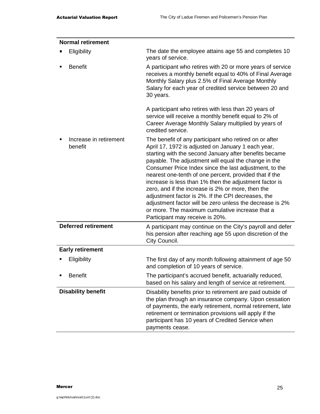| <b>Normal retirement</b>          |                                                                                                                                                                                                                                                                                                                                                                                                                                                                                                                                                                                                                                                                           |
|-----------------------------------|---------------------------------------------------------------------------------------------------------------------------------------------------------------------------------------------------------------------------------------------------------------------------------------------------------------------------------------------------------------------------------------------------------------------------------------------------------------------------------------------------------------------------------------------------------------------------------------------------------------------------------------------------------------------------|
| Eligibility                       | The date the employee attains age 55 and completes 10<br>years of service.                                                                                                                                                                                                                                                                                                                                                                                                                                                                                                                                                                                                |
| <b>Benefit</b>                    | A participant who retires with 20 or more years of service<br>receives a monthly benefit equal to 40% of Final Average<br>Monthly Salary plus 2.5% of Final Average Monthly<br>Salary for each year of credited service between 20 and<br>30 years.                                                                                                                                                                                                                                                                                                                                                                                                                       |
|                                   | A participant who retires with less than 20 years of<br>service will receive a monthly benefit equal to 2% of<br>Career Average Monthly Salary multiplied by years of<br>credited service.                                                                                                                                                                                                                                                                                                                                                                                                                                                                                |
| Increase in retirement<br>benefit | The benefit of any participant who retired on or after<br>April 17, 1972 is adjusted on January 1 each year,<br>starting with the second January after benefits became<br>payable. The adjustment will equal the change in the<br>Consumer Price Index since the last adjustment, to the<br>nearest one-tenth of one percent, provided that if the<br>increase is less than 1% then the adjustment factor is<br>zero, and if the increase is 2% or more, then the<br>adjustment factor is 2%. If the CPI decreases, the<br>adjustment factor will be zero unless the decrease is 2%<br>or more. The maximum cumulative increase that a<br>Participant may receive is 20%. |
| <b>Deferred retirement</b>        | A participant may continue on the City's payroll and defer<br>his pension after reaching age 55 upon discretion of the<br>City Council.                                                                                                                                                                                                                                                                                                                                                                                                                                                                                                                                   |
| <b>Early retirement</b>           |                                                                                                                                                                                                                                                                                                                                                                                                                                                                                                                                                                                                                                                                           |
| Eligibility                       | The first day of any month following attainment of age 50<br>and completion of 10 years of service.                                                                                                                                                                                                                                                                                                                                                                                                                                                                                                                                                                       |
| <b>Benefit</b>                    | The participant's accrued benefit, actuarially reduced,<br>based on his salary and length of service at retirement.                                                                                                                                                                                                                                                                                                                                                                                                                                                                                                                                                       |
| <b>Disability benefit</b>         | Disability benefits prior to retirement are paid outside of<br>the plan through an insurance company. Upon cessation<br>of payments, the early retirement, normal retirement, late<br>retirement or termination provisions will apply if the<br>participant has 10 years of Credited Service when<br>payments cease.                                                                                                                                                                                                                                                                                                                                                      |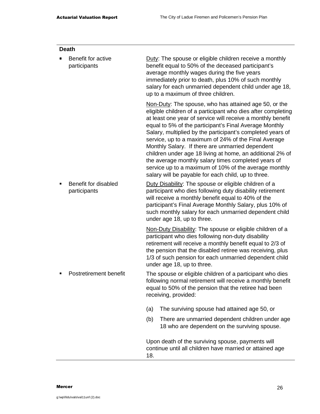|   | <b>Death</b>                         |                                                                                                                                                                                                                                                                                                                       |                                                                                                                                                                                                                                                                                                                                                                                                                                                                                                                                                                                                                                                              |  |  |  |
|---|--------------------------------------|-----------------------------------------------------------------------------------------------------------------------------------------------------------------------------------------------------------------------------------------------------------------------------------------------------------------------|--------------------------------------------------------------------------------------------------------------------------------------------------------------------------------------------------------------------------------------------------------------------------------------------------------------------------------------------------------------------------------------------------------------------------------------------------------------------------------------------------------------------------------------------------------------------------------------------------------------------------------------------------------------|--|--|--|
|   | Benefit for active<br>participants   | Duty: The spouse or eligible children receive a monthly<br>benefit equal to 50% of the deceased participant's<br>average monthly wages during the five years<br>immediately prior to death, plus 10% of such monthly<br>salary for each unmarried dependent child under age 18,<br>up to a maximum of three children. |                                                                                                                                                                                                                                                                                                                                                                                                                                                                                                                                                                                                                                                              |  |  |  |
|   |                                      |                                                                                                                                                                                                                                                                                                                       | Non-Duty: The spouse, who has attained age 50, or the<br>eligible children of a participant who dies after completing<br>at least one year of service will receive a monthly benefit<br>equal to 5% of the participant's Final Average Monthly<br>Salary, multiplied by the participant's completed years of<br>service, up to a maximum of 24% of the Final Average<br>Monthly Salary. If there are unmarried dependent<br>children under age 18 living at home, an additional 2% of<br>the average monthly salary times completed years of<br>service up to a maximum of 10% of the average monthly<br>salary will be payable for each child, up to three. |  |  |  |
| п | Benefit for disabled<br>participants |                                                                                                                                                                                                                                                                                                                       | Duty Disability: The spouse or eligible children of a<br>participant who dies following duty disability retirement<br>will receive a monthly benefit equal to 40% of the<br>participant's Final Average Monthly Salary, plus 10% of<br>such monthly salary for each unmarried dependent child<br>under age 18, up to three.                                                                                                                                                                                                                                                                                                                                  |  |  |  |
|   |                                      |                                                                                                                                                                                                                                                                                                                       | Non-Duty Disability: The spouse or eligible children of a<br>participant who dies following non-duty disability<br>retirement will receive a monthly benefit equal to 2/3 of<br>the pension that the disabled retiree was receiving, plus<br>1/3 of such pension for each unmarried dependent child<br>under age 18, up to three.                                                                                                                                                                                                                                                                                                                            |  |  |  |
| п | Postretirement benefit               |                                                                                                                                                                                                                                                                                                                       | The spouse or eligible children of a participant who dies<br>following normal retirement will receive a monthly benefit<br>equal to 50% of the pension that the retiree had been<br>receiving, provided:                                                                                                                                                                                                                                                                                                                                                                                                                                                     |  |  |  |
|   |                                      | (a)                                                                                                                                                                                                                                                                                                                   | The surviving spouse had attained age 50, or                                                                                                                                                                                                                                                                                                                                                                                                                                                                                                                                                                                                                 |  |  |  |
|   |                                      | (b)                                                                                                                                                                                                                                                                                                                   | There are unmarried dependent children under age<br>18 who are dependent on the surviving spouse.                                                                                                                                                                                                                                                                                                                                                                                                                                                                                                                                                            |  |  |  |
|   |                                      | Upon death of the surviving spouse, payments will<br>continue until all children have married or attained age<br>18.                                                                                                                                                                                                  |                                                                                                                                                                                                                                                                                                                                                                                                                                                                                                                                                                                                                                                              |  |  |  |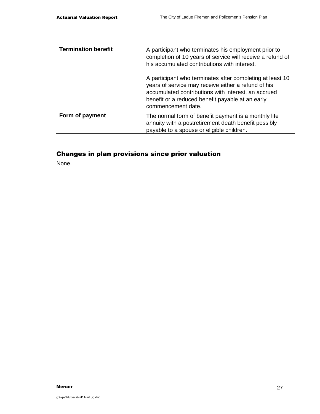| <b>Termination benefit</b> | A participant who terminates his employment prior to<br>completion of 10 years of service will receive a refund of<br>his accumulated contributions with interest.                                                                                |
|----------------------------|---------------------------------------------------------------------------------------------------------------------------------------------------------------------------------------------------------------------------------------------------|
|                            | A participant who terminates after completing at least 10<br>years of service may receive either a refund of his<br>accumulated contributions with interest, an accrued<br>benefit or a reduced benefit payable at an early<br>commencement date. |
| Form of payment            | The normal form of benefit payment is a monthly life<br>annuity with a postretirement death benefit possibly<br>payable to a spouse or eligible children.                                                                                         |

## Changes in plan provisions since prior valuation

None.